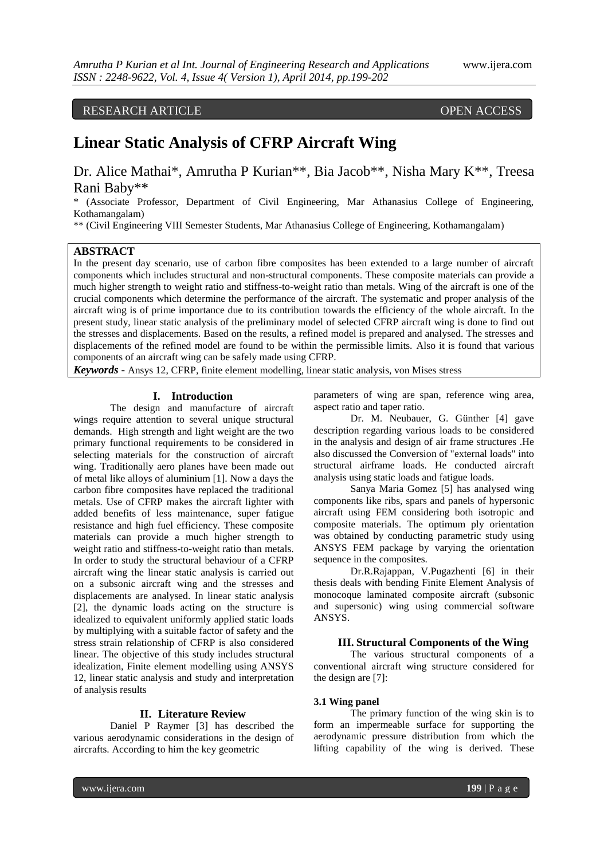RESEARCH ARTICLE OPEN ACCESS

# **Linear Static Analysis of CFRP Aircraft Wing**

Dr. Alice Mathai\*, Amrutha P Kurian\*\*, Bia Jacob\*\*, Nisha Mary K\*\*, Treesa Rani Baby\*\*

\* (Associate Professor, Department of Civil Engineering, Mar Athanasius College of Engineering, Kothamangalam)

\*\* (Civil Engineering VIII Semester Students, Mar Athanasius College of Engineering, Kothamangalam)

## **ABSTRACT**

In the present day scenario, use of carbon fibre composites has been extended to a large number of aircraft components which includes structural and non-structural components. These composite materials can provide a much higher strength to weight ratio and stiffness-to-weight ratio than metals. Wing of the aircraft is one of the crucial components which determine the performance of the aircraft. The systematic and proper analysis of the aircraft wing is of prime importance due to its contribution towards the efficiency of the whole aircraft. In the present study, linear static analysis of the preliminary model of selected CFRP aircraft wing is done to find out the stresses and displacements. Based on the results, a refined model is prepared and analysed. The stresses and displacements of the refined model are found to be within the permissible limits. Also it is found that various components of an aircraft wing can be safely made using CFRP.

*Keywords* **-** Ansys 12, CFRP, finite element modelling, linear static analysis, von Mises stress

### **I. Introduction**

The design and manufacture of aircraft wings require attention to several unique structural demands. High strength and light weight are the two primary functional requirements to be considered in selecting materials for the construction of aircraft wing. Traditionally aero planes have been made out of metal like alloys of aluminium [1]. Now a days the carbon fibre composites have replaced the traditional metals. Use of CFRP makes the aircraft lighter with added benefits of less maintenance, super fatigue resistance and high fuel efficiency. These composite materials can provide a much higher strength to weight ratio and stiffness-to-weight ratio than metals. In order to study the structural behaviour of a CFRP aircraft wing the linear static analysis is carried out on a subsonic aircraft wing and the stresses and displacements are analysed. In linear static analysis [2], the dynamic loads acting on the structure is idealized to equivalent uniformly applied static loads by multiplying with a suitable factor of safety and the stress strain relationship of CFRP is also considered linear. The objective of this study includes structural idealization, Finite element modelling using ANSYS 12, linear static analysis and study and interpretation of analysis results

#### **II. Literature Review**

Daniel P Raymer [3] has described the various aerodynamic considerations in the design of aircrafts. According to him the key geometric

parameters of wing are span, reference wing area, aspect ratio and taper ratio.

Dr. M. Neubauer, G. Günther [4] gave description regarding various loads to be considered in the analysis and design of air frame structures .He also discussed the Conversion of "external loads" into structural airframe loads. He conducted aircraft analysis using static loads and fatigue loads.

Sanya Maria Gomez [5] has analysed wing components like ribs, spars and panels of hypersonic aircraft using FEM considering both isotropic and composite materials. The optimum ply orientation was obtained by conducting parametric study using ANSYS FEM package by varying the orientation sequence in the composites.

Dr.R.Rajappan, V.Pugazhenti [6] in their thesis deals with bending Finite Element Analysis of monocoque laminated composite aircraft (subsonic and supersonic) wing using commercial software ANSYS.

#### **III. Structural Components of the Wing**

The various structural components of a conventional aircraft wing structure considered for the design are [7]:

#### **3.1 Wing panel**

The primary function of the wing skin is to form an impermeable surface for supporting the aerodynamic pressure distribution from which the lifting capability of the wing is derived. These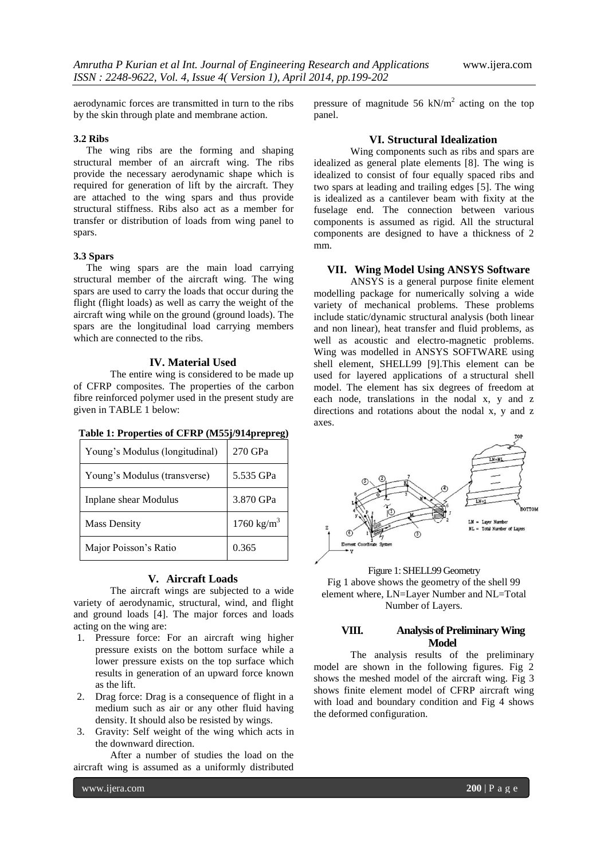aerodynamic forces are transmitted in turn to the ribs by the skin through plate and membrane action.

#### **3.2 Ribs**

 The wing ribs are the forming and shaping structural member of an aircraft wing. The ribs provide the necessary aerodynamic shape which is required for generation of lift by the aircraft. They are attached to the wing spars and thus provide structural stiffness. Ribs also act as a member for transfer or distribution of loads from wing panel to spars.

#### **3.3 Spars**

 The wing spars are the main load carrying structural member of the aircraft wing. The wing spars are used to carry the loads that occur during the flight (flight loads) as well as carry the weight of the aircraft wing while on the ground (ground loads). The spars are the longitudinal load carrying members which are connected to the ribs.

#### **IV. Material Used**

The entire wing is considered to be made up of CFRP composites. The properties of the carbon fibre reinforced polymer used in the present study are given in TABLE 1 below:

| Young's Modulus (longitudinal) | 270 GPa       |
|--------------------------------|---------------|
| Young's Modulus (transverse)   | 5.535 GPa     |
| Inplane shear Modulus          | 3.870 GPa     |
| <b>Mass Density</b>            | 1760 $kg/m^3$ |
| Major Poisson's Ratio          | 0.365         |

#### **V. Aircraft Loads**

The aircraft wings are subjected to a wide variety of aerodynamic, structural, wind, and flight and ground loads [4]. The major forces and loads acting on the wing are:

- 1. Pressure force: For an aircraft wing higher pressure exists on the bottom surface while a lower pressure exists on the top surface which results in generation of an upward force known as the lift.
- 2. Drag force: Drag is a consequence of flight in a medium such as air or any other fluid having density. It should also be resisted by wings.
- 3. Gravity: Self weight of the wing which acts in the downward direction.

After a number of studies the load on the aircraft wing is assumed as a uniformly distributed

pressure of magnitude 56 kN/ $m<sup>2</sup>$  acting on the top panel.

#### **VI. Structural Idealization**

Wing components such as ribs and spars are idealized as general plate elements [8]. The wing is idealized to consist of four equally spaced ribs and two spars at leading and trailing edges [5]. The wing is idealized as a cantilever beam with fixity at the fuselage end. The connection between various components is assumed as rigid. All the structural components are designed to have a thickness of 2 mm.

### **VII. Wing Model Using ANSYS Software**

ANSYS is a general purpose finite element modelling package for numerically solving a wide variety of mechanical problems. These problems include static/dynamic structural analysis (both linear and non linear), heat transfer and fluid problems, as well as acoustic and electro-magnetic problems. Wing was modelled in ANSYS SOFTWARE using shell element, SHELL99 [9].This element can be used for layered applications of a structural shell model. The element has six degrees of freedom at each node, translations in the nodal x, y and z directions and rotations about the nodal x, y and z axes.



#### Figure 1: SHELL99 Geometry Fig 1 above shows the geometry of the shell 99 element where, LN=Layer Number and NL=Total Number of Layers.

# **VIII. Analysis of PreliminaryWing Model**

The analysis results of the preliminary model are shown in the following figures. Fig 2 shows the meshed model of the aircraft wing. Fig 3 shows finite element model of CFRP aircraft wing with load and boundary condition and Fig 4 shows the deformed configuration.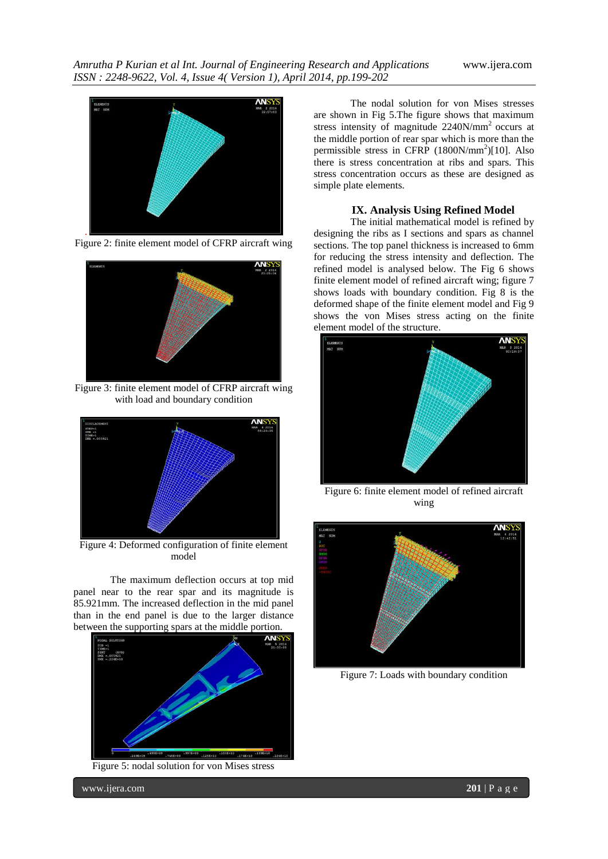

Figure 2: finite element model of CFRP aircraft wing



Figure 3: finite element model of CFRP aircraft wing with load and boundary condition



Figure 4: Deformed configuration of finite element model

The maximum deflection occurs at top mid panel near to the rear spar and its magnitude is 85.921mm. The increased deflection in the mid panel than in the end panel is due to the larger distance between the supporting spars at the middle portion.



Figure 5: nodal solution for von Mises stress

The nodal solution for von Mises stresses are shown in Fig 5.The figure shows that maximum stress intensity of magnitude  $2240N/mm^2$  occurs at the middle portion of rear spar which is more than the permissible stress in CFRP (1800N/mm<sup>2</sup>)[10]. Also there is stress concentration at ribs and spars. This stress concentration occurs as these are designed as simple plate elements.

#### **IX. Analysis Using Refined Model**

The initial mathematical model is refined by designing the ribs as I sections and spars as channel sections. The top panel thickness is increased to 6mm for reducing the stress intensity and deflection. The refined model is analysed below. The Fig 6 shows finite element model of refined aircraft wing; figure 7 shows loads with boundary condition. Fig 8 is the deformed shape of the finite element model and Fig 9 shows the von Mises stress acting on the finite element model of the structure.



Figure 6: finite element model of refined aircraft wing



Figure 7: Loads with boundary condition

www.ijera.com **201** | P a g e